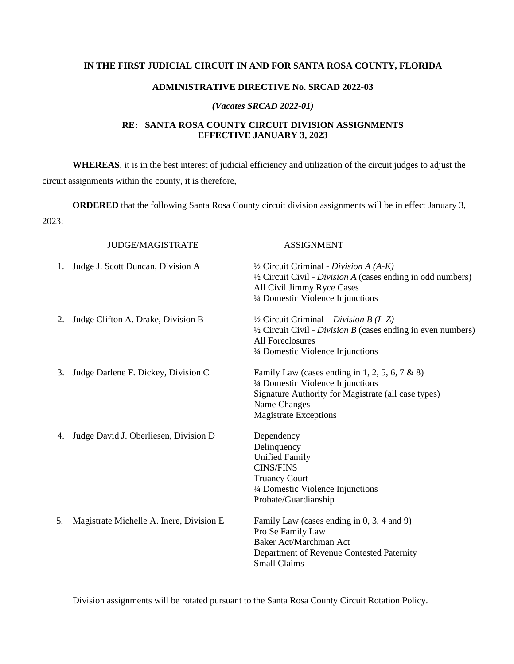## **IN THE FIRST JUDICIAL CIRCUIT IN AND FOR SANTA ROSA COUNTY, FLORIDA**

#### **ADMINISTRATIVE DIRECTIVE No. SRCAD 2022-03**

#### *(Vacates SRCAD 2022-01)*

### **RE: SANTA ROSA COUNTY CIRCUIT DIVISION ASSIGNMENTS EFFECTIVE JANUARY 3, 2023**

**WHEREAS**, it is in the best interest of judicial efficiency and utilization of the circuit judges to adjust the circuit assignments within the county, it is therefore,

**ORDERED** that the following Santa Rosa County circuit division assignments will be in effect January 3, 2023:

| <b>JUDGE/MAGISTRATE</b>                        | <b>ASSIGNMENT</b>                                                                                                                                                                                   |
|------------------------------------------------|-----------------------------------------------------------------------------------------------------------------------------------------------------------------------------------------------------|
| Judge J. Scott Duncan, Division A              | $\frac{1}{2}$ Circuit Criminal - Division A (A-K)<br>1/2 Circuit Civil - Division A (cases ending in odd numbers)<br>All Civil Jimmy Ryce Cases<br>1/4 Domestic Violence Injunctions                |
| Judge Clifton A. Drake, Division B<br>2.       | $\frac{1}{2}$ Circuit Criminal – Division B (L-Z)<br>$\frac{1}{2}$ Circuit Civil - <i>Division B</i> (cases ending in even numbers)<br><b>All Foreclosures</b><br>1/4 Domestic Violence Injunctions |
| Judge Darlene F. Dickey, Division C.<br>3.     | Family Law (cases ending in 1, 2, 5, 6, 7 & 8)<br>1/4 Domestic Violence Injunctions<br>Signature Authority for Magistrate (all case types)<br>Name Changes<br><b>Magistrate Exceptions</b>          |
| Judge David J. Oberliesen, Division D<br>4.    | Dependency<br>Delinquency<br><b>Unified Family</b><br><b>CINS/FINS</b><br><b>Truancy Court</b><br>1/4 Domestic Violence Injunctions<br>Probate/Guardianship                                         |
| Magistrate Michelle A. Inere, Division E<br>5. | Family Law (cases ending in 0, 3, 4 and 9)<br>Pro Se Family Law<br>Baker Act/Marchman Act<br>Department of Revenue Contested Paternity<br><b>Small Claims</b>                                       |

Division assignments will be rotated pursuant to the Santa Rosa County Circuit Rotation Policy.